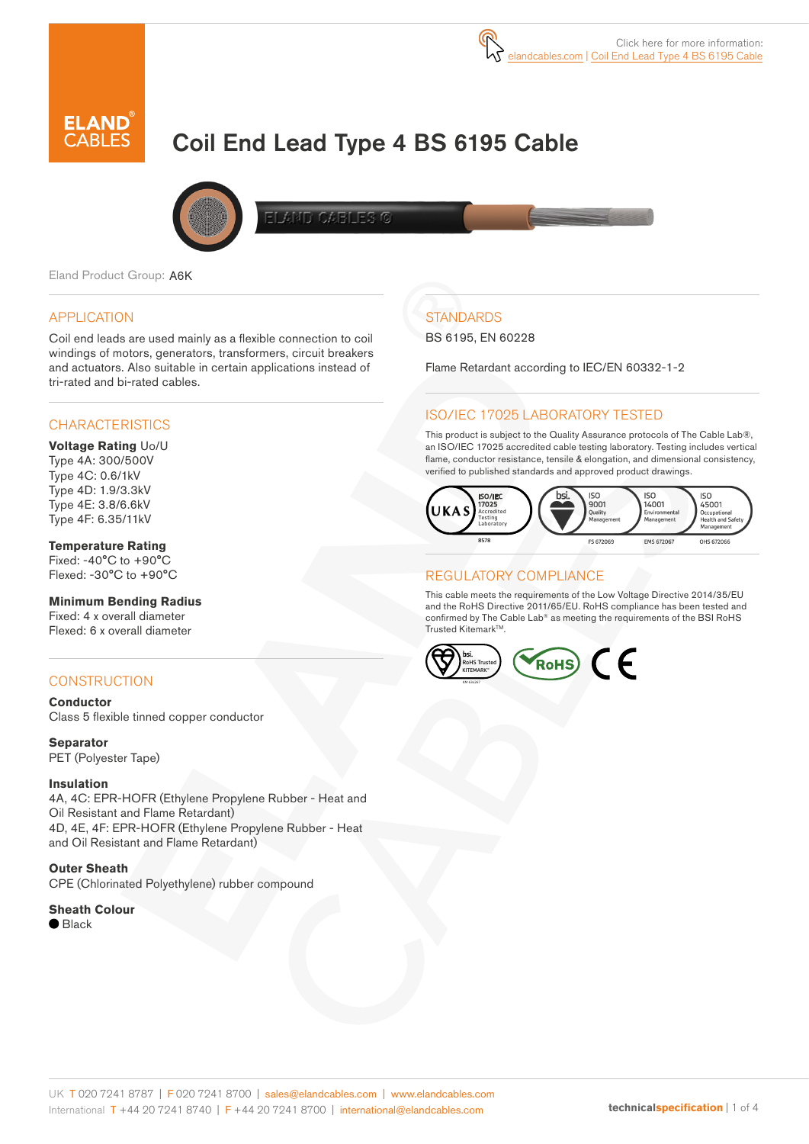

# Coil End Lead Type 4 BS 6195 Cable



**ELAND CABLES G** 

Eland Product Group: A6K

### APPLICATION

Coil end leads are used mainly as a flexible connection to coil windings of motors, generators, transformers, circuit breakers and actuators. Also suitable in certain applications instead of tri-rated and bi-rated cables.

### **CHARACTERISTICS**

#### **Voltage Rating** Uo/U Type 4A: 300/500V Type 4C: 0.6/1kV Type 4D: 1.9/3.3kV Type 4E: 3.8/6.6kV Type 4F: 6.35/11kV

### **Temperature Rating**

Fixed: -40°C to +90°C Flexed: -30°C to +90°C

#### **Minimum Bending Radius**

Fixed: 4 x overall diameter Flexed: 6 x overall diameter

### CONSTRUCTION

**Conductor** Class 5 flexible tinned copper conductor

**Separator** PET (Polyester Tape)

#### **Insulation**

4A, 4C: EPR-HOFR (Ethylene Propylene Rubber - Heat and Oil Resistant and Flame Retardant) 4D, 4E, 4F: EPR-HOFR (Ethylene Propylene Rubber - Heat and Oil Resistant and Flame Retardant)

**Outer Sheath** CPE (Chlorinated Polyethylene) rubber compound

#### **Sheath Colour**

 $\bullet$  Black

## **STANDARDS**

BS 6195, EN 60228

Flame Retardant according to IEC/EN 60332-1-2

### ISO/IEC 17025 LABORATORY TESTED

This product is subject to the Quality Assurance protocols of The Cable Lab®, an ISO/IEC 17025 accredited cable testing laboratory. Testing includes vertical flame, conductor resistance, tensile & elongation, and dimensional consistency, verified to published standards and approved product drawings.



### REGULATORY COMPLIANCE

This cable meets the requirements of the Low Voltage Directive 2014/35/EU and the RoHS Directive 2011/65/EU. RoHS compliance has been tested and confirmed by The Cable Lab® as meeting the requirements of the BSI RoHS Trusted Kitemark™.

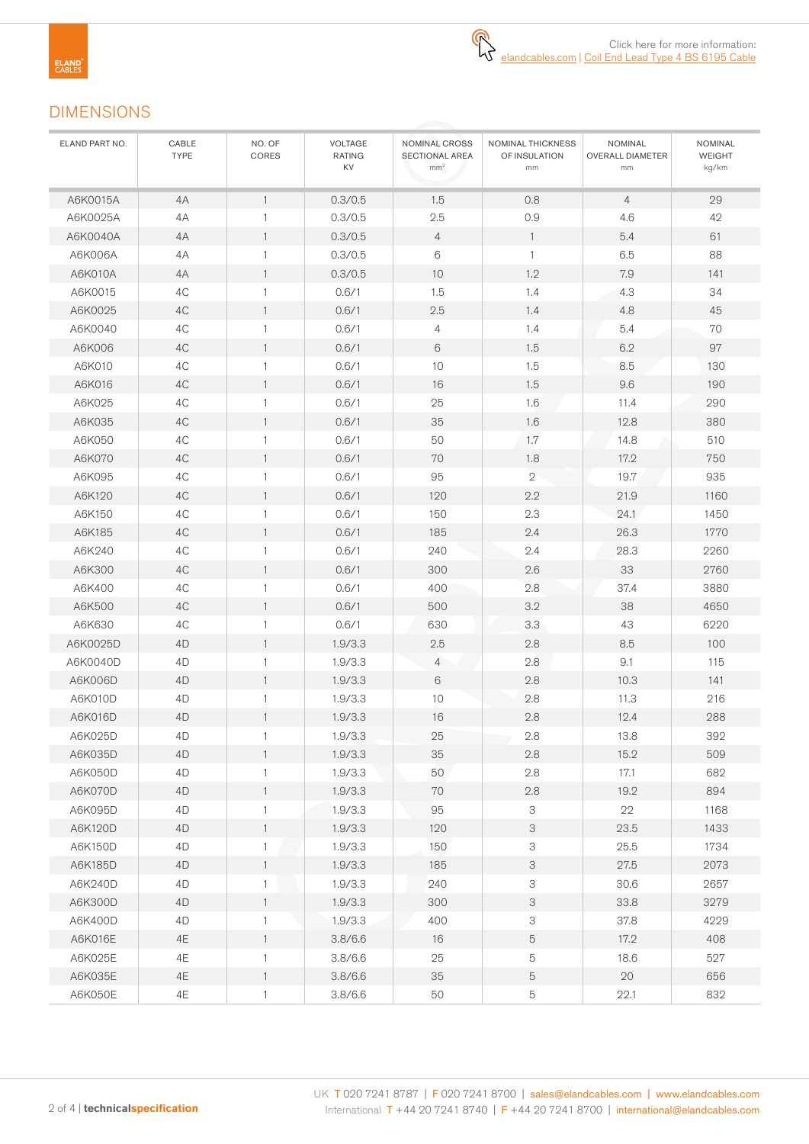### DIMENSIONS

| ELAND PART NO. | CABLE<br><b>TYPE</b> | NO. OF<br>CORES | VOLTAGE<br><b>RATING</b><br>KV | NOMINAL CROSS<br>SECTIONAL AREA<br>mm <sup>2</sup> | NOMINAL THICKNESS<br>OF INSULATION<br>mm | NOMINAL<br><b>OVERALL DIAMETER</b><br>mm | NOMINAL<br><b>WEIGHT</b><br>kg/km |
|----------------|----------------------|-----------------|--------------------------------|----------------------------------------------------|------------------------------------------|------------------------------------------|-----------------------------------|
| A6K0015A       | 4A                   | $\mathbf{1}$    | 0.3/0.5                        | 1.5                                                | 0.8                                      | $\overline{4}$                           | 29                                |
| A6K0025A       | 4A                   | $\mathbf{1}$    | 0.3/0.5                        | 2.5                                                | 0.9                                      | 4.6                                      | 42                                |
| A6K0040A       | 4A                   | $\mathbf{1}$    | 0.3/0.5                        | $\overline{4}$                                     | $\overline{1}$                           | 5.4                                      | 61                                |
| A6K006A        | 4A                   | $\mathbf{1}$    | 0.3/0.5                        | $6\,$                                              | $\mathbf{1}$                             | 6.5                                      | 88                                |
| A6K010A        | 4A                   | $\mathbf{1}$    | 0.3/0.5                        | 10                                                 | 1.2                                      | 7.9                                      | 141                               |
| A6K0015        | 4C                   | $\mathbf{1}$    | 0.6/1                          | 1.5                                                | 1.4                                      | 4.3                                      | 34                                |
| A6K0025        | 4C                   | $\mathbf{1}$    | 0.6/1                          | 2.5                                                | 1.4                                      | 4.8                                      | 45                                |
| A6K0040        | 4C                   | 1               | 0.6/1                          | $\overline{4}$                                     | 1.4                                      | 5.4                                      | 70                                |
| A6K006         | 4C                   | $\mathbf{1}$    | 0.6/1                          | 6                                                  | 1.5                                      | 6.2                                      | 97                                |
| A6K010         | 4C                   | $\mathbf{1}$    | 0.6/1                          | 10                                                 | 1.5                                      | 8.5                                      | 130                               |
| A6K016         | 4C                   | $\mathbf{1}$    | 0.6/1                          | 16                                                 | 1.5                                      | 9.6                                      | 190                               |
| A6K025         | 4C                   | 1               | 0.6/1                          | 25                                                 | 1.6                                      | 11.4                                     | 290                               |
| A6K035         | 4C                   | $\mathbf{1}$    | 0.6/1                          | 35                                                 | 1.6                                      | 12.8                                     | 380                               |
| A6K050         | 4C                   | $\mathbf{1}$    | 0.6/1                          | 50                                                 | 1.7                                      | 14.8                                     | 510                               |
| A6K070         | 4C                   | $\mathbf{1}$    | 0.6/1                          | 70                                                 | 1.8                                      | 17.2                                     | 750                               |
| A6K095         | 4C                   | $\mathbf{1}$    | 0.6/1                          | 95                                                 | $\overline{2}$                           | 19.7                                     | 935                               |
| A6K120         | 4C                   | $\mathbf{1}$    | 0.6/1                          | 120                                                | 2.2                                      | 21.9                                     | 1160                              |
| A6K150         | 4C                   | $\mathbf{1}$    | 0.6/1                          | 150                                                | 2.3                                      | 24.1                                     | 1450                              |
| A6K185         | 4C                   | $\mathbf{1}$    | 0.6/1                          | 185                                                | 2.4                                      | 26.3                                     | 1770                              |
| A6K240         | 4C                   | $\mathbf{1}$    | 0.6/1                          | 240                                                | 2.4                                      | 28.3                                     | 2260                              |
| A6K300         | 4C                   | $\mathbf{1}$    | 0.6/1                          | 300                                                | 2.6                                      | 33                                       | 2760                              |
| A6K400         | 4C                   | $\mathbf{1}$    | 0.6/1                          | 400                                                | 2.8                                      | 37.4                                     | 3880                              |
| A6K500         | 4C                   | $\mathbf{1}$    | 0.6/1                          | 500                                                | 3.2                                      | 38                                       | 4650                              |
| A6K630         | 4C                   | $\mathbf{1}$    | 0.6/1                          | 630                                                | 3.3                                      | 43                                       | 6220                              |
| A6K0025D       | 4D                   | $\mathbf{1}$    | 1.9/3.3                        | 2.5                                                | 2.8                                      | 8.5                                      | 100                               |
| A6K0040D       | 4D                   | 1               | 1.9/3.3                        | $\overline{4}$                                     | 2.8                                      | 9.1                                      | 115                               |
| A6K006D        | 4D                   | $\mathbf{1}$    | 1.9/3.3                        | 6                                                  | 2.8                                      | 10.3                                     | 141                               |
| A6K010D        | 4D                   | $\mathbf{1}$    | 1.9/3.3                        | 10                                                 | 2.8                                      | 11.3                                     | 216                               |
| A6K016D        | 4D                   | $\mathbf{1}$    | 1.9/3.3                        | 16                                                 | 2.8                                      | 12.4                                     | 288                               |
| A6K025D        | 4D                   | 1               | 1.9/3.3                        | 25                                                 | 2.8                                      | 13.8                                     | 392                               |
| A6K035D        | 4D                   | 1               | 1.9/3.3                        | 35                                                 | 2.8                                      | 15.2                                     | 509                               |
| A6K050D        | 4D                   | $\mathbf{1}$    | 1.9/3.3                        | 50                                                 | $2.8\,$                                  | 17.1                                     | 682                               |
| A6K070D        | 4D                   | $\mathbf{1}$    | 1.9/3.3                        | $70\,$                                             | $2.8\,$                                  | 19.2                                     | 894                               |
| A6K095D        | 4D                   | 1               | 1.9/3.3                        | 95                                                 | $\ensuremath{\mathsf{3}}$                | 22                                       | 1168                              |
| A6K120D        | 4D                   | $\mathbf{1}$    | 1.9/3.3                        | 120                                                | 3                                        | 23.5                                     | 1433                              |
| A6K150D        | 4D                   | 1               | 1.9/3.3                        | 150                                                | 3                                        | 25.5                                     | 1734                              |
| A6K185D        | 4D                   | 1               | 1.9/3.3                        | 185                                                | 3                                        | $27.5\,$                                 | 2073                              |
| A6K240D        | 4D                   | 1               | 1.9/3.3                        | 240                                                | 3                                        | 30.6                                     | 2657                              |
| A6K300D        | 4D                   | $\mathbf{1}$    | 1.9/3.3                        | 300                                                | 3                                        | 33.8                                     | 3279                              |
| A6K400D        | 4D                   | $\mathbf{1}$    | 1.9/3.3                        | 400                                                | 3                                        | 37.8                                     | 4229                              |
| A6K016E        | 4E                   | $\mathbf{1}$    | 3.8/6.6                        | $16$                                               | 5                                        | 17.2                                     | 408                               |
| A6K025E        | 4E                   | $\mathbf{1}$    | 3.8/6.6                        | 25                                                 | 5                                        | 18.6                                     | 527                               |
| A6K035E        | $4\mathsf{E}$        | $\mathbf{1}$    | 3.8/6.6                        | $35\,$                                             | 5                                        | $20\,$                                   | 656                               |
| A6K050E        | $4\mathsf{E}$        | $\mathbf 1$     | 3.8/6.6                        | 50                                                 | $\mathbf 5$                              | 22.1                                     | 832                               |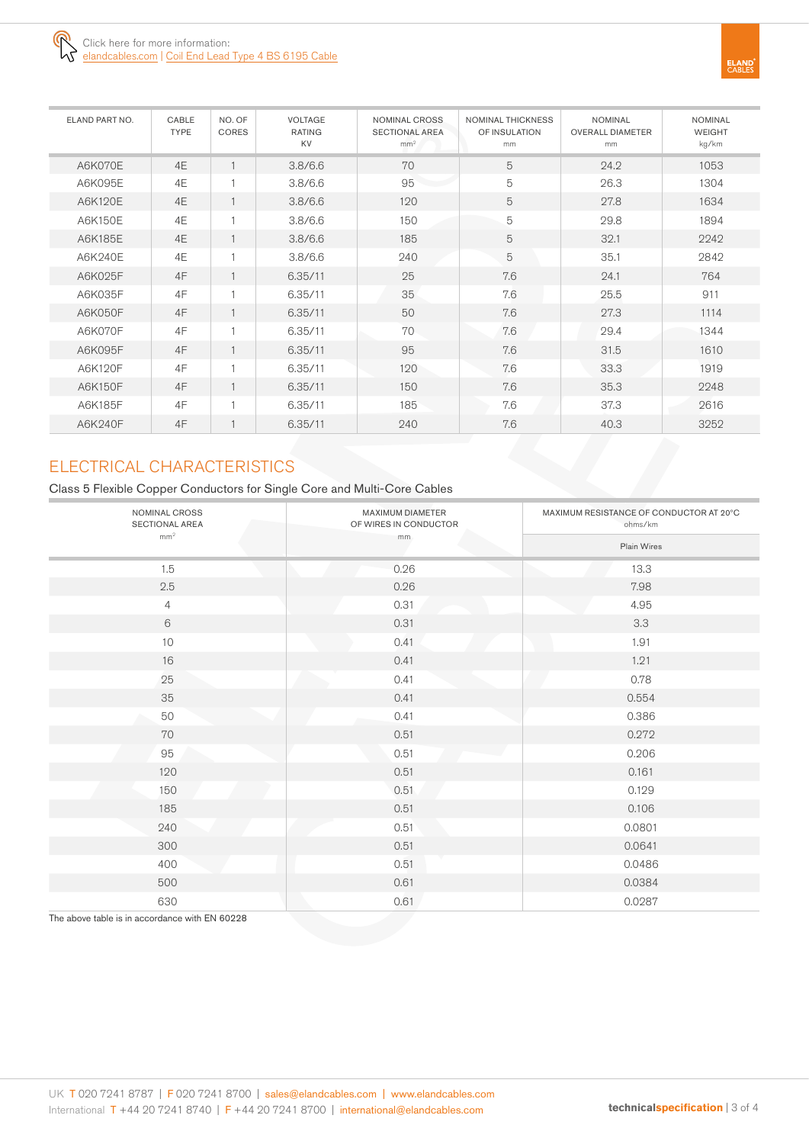

| ELAND PART NO. | CABLE<br><b>TYPE</b> | NO. OF<br>CORES | <b>VOLTAGE</b><br><b>RATING</b><br>KV | NOMINAL CROSS<br><b>SECTIONAL AREA</b><br>mm <sup>2</sup> | <b>NOMINAL THICKNESS</b><br>OF INSULATION<br>mm | <b>NOMINAL</b><br><b>OVERALL DIAMETER</b><br>mm | <b>NOMINAL</b><br><b>WEIGHT</b><br>kg/km |
|----------------|----------------------|-----------------|---------------------------------------|-----------------------------------------------------------|-------------------------------------------------|-------------------------------------------------|------------------------------------------|
| A6K070E        | 4E                   |                 | 3.8/6.6                               | 70                                                        | 5                                               | 24.2                                            | 1053                                     |
| A6K095E        | 4E                   |                 | 3.8/6.6                               | 95                                                        | $\mathbf 5$                                     | 26.3                                            | 1304                                     |
| A6K120E        | 4E                   |                 | 3.8/6.6                               | 120                                                       | 5                                               | 27.8                                            | 1634                                     |
| A6K150E        | 4E                   |                 | 3.8/6.6                               | 150                                                       | 5                                               | 29.8                                            | 1894                                     |
| A6K185E        | 4E                   |                 | 3.8/6.6                               | 185                                                       | 5                                               | 32.1                                            | 2242                                     |
| A6K240E        | 4E                   |                 | 3.8/6.6                               | 240                                                       | 5                                               | 35.1                                            | 2842                                     |
| A6K025F        | 4F                   |                 | 6.35/11                               | 25                                                        | 7.6                                             | 24.1                                            | 764                                      |
| A6K035F        | 4F                   |                 | 6.35/11                               | 35                                                        | 7.6                                             | 25.5                                            | 911                                      |
| A6K050F        | 4F                   |                 | 6.35/11                               | 50                                                        | 7.6                                             | 27.3                                            | 1114                                     |
| A6K070F        | 4F                   |                 | 6.35/11                               | 70                                                        | 7.6                                             | 29.4                                            | 1344                                     |
| A6K095F        | 4F                   |                 | 6.35/11                               | 95                                                        | 7.6                                             | 31.5                                            | 1610                                     |
| A6K120F        | 4F                   |                 | 6.35/11                               | 120                                                       | 7.6                                             | 33.3                                            | 1919                                     |
| A6K150F        | 4F                   |                 | 6.35/11                               | 150                                                       | 7.6                                             | 35.3                                            | 2248                                     |
| A6K185F        | 4F                   |                 | 6.35/11                               | 185                                                       | 7.6                                             | 37.3                                            | 2616                                     |
| A6K240F        | 4F                   |                 | 6.35/11                               | 240                                                       | 7.6                                             | 40.3                                            | 3252                                     |

### ELECTRICAL CHARACTERISTICS

Class 5 Flexible Copper Conductors for Single Core and Multi-Core Cables

| NOMINAL CROSS<br>SECTIONAL AREA | MAXIMUM DIAMETER<br>OF WIRES IN CONDUCTOR | MAXIMUM RESISTANCE OF CONDUCTOR AT 20°C<br>ohms/km |  |  |  |  |
|---------------------------------|-------------------------------------------|----------------------------------------------------|--|--|--|--|
| mm <sup>2</sup>                 | mm                                        | Plain Wires                                        |  |  |  |  |
| 1.5                             | 0.26                                      | 13.3                                               |  |  |  |  |
| 2.5                             | 0.26                                      | 7.98                                               |  |  |  |  |
| $\overline{4}$                  | 0.31                                      | 4.95                                               |  |  |  |  |
| $6\,$                           | 0.31                                      | 3.3                                                |  |  |  |  |
| 10                              | 0.41                                      | 1.91                                               |  |  |  |  |
| 16                              | 0.41                                      | 1.21                                               |  |  |  |  |
| 25                              | 0.41                                      | 0.78                                               |  |  |  |  |
| 35                              | 0.41                                      | 0.554                                              |  |  |  |  |
| 50                              | 0.41                                      | 0.386                                              |  |  |  |  |
| 70                              | 0.51                                      | 0.272                                              |  |  |  |  |
| 95                              | 0.51                                      | 0.206                                              |  |  |  |  |
| 120                             | 0.51                                      | 0.161                                              |  |  |  |  |
| 150                             | 0.51                                      | 0.129                                              |  |  |  |  |
| 185                             | 0.51                                      | 0.106                                              |  |  |  |  |
| 240                             | 0.51                                      | 0.0801                                             |  |  |  |  |
| 300                             | 0.51                                      | 0.0641                                             |  |  |  |  |
| 400                             | 0.51                                      | 0.0486                                             |  |  |  |  |
| 500                             | 0.61                                      | 0.0384                                             |  |  |  |  |
| 630                             | 0.61                                      | 0.0287                                             |  |  |  |  |

The above table is in accordance with EN 60228